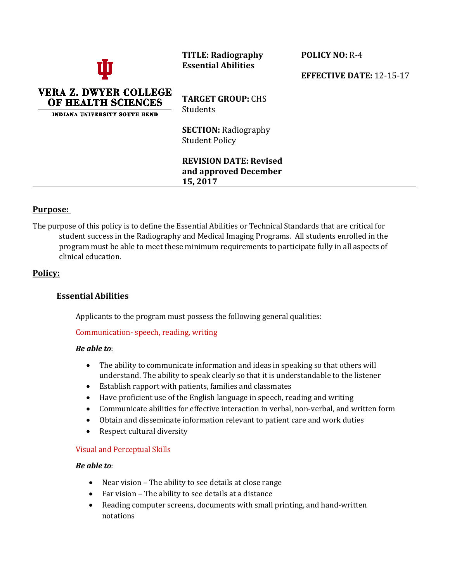**TITLE: Radiography Essential Abilities** 

**POLICY NO:** R-4

**EFFECTIVE DATE:** 12-15-17



**TARGET GROUP:** CHS Students

**SECTION:** Radiography Student Policy

**REVISION DATE: Revised and approved December 15, 2017**

## **Purpose:**

The purpose of this policy is to define the Essential Abilities or Technical Standards that are critical for student success in the Radiography and Medical Imaging Programs. All students enrolled in the program must be able to meet these minimum requirements to participate fully in all aspects of clinical education.

## **Policy:**

# **Essential Abilities**

Applicants to the program must possess the following general qualities:

Communication- speech, reading, writing

#### *Be able to*:

- The ability to communicate information and ideas in speaking so that others will understand. The ability to speak clearly so that it is understandable to the listener
- Establish rapport with patients, families and classmates
- Have proficient use of the English language in speech, reading and writing
- Communicate abilities for effective interaction in verbal, non-verbal, and written form
- Obtain and disseminate information relevant to patient care and work duties
- Respect cultural diversity

## Visual and Perceptual Skills

#### *Be able to*:

- Near vision The ability to see details at close range
- Far vision The ability to see details at a distance
- Reading computer screens, documents with small printing, and hand-written notations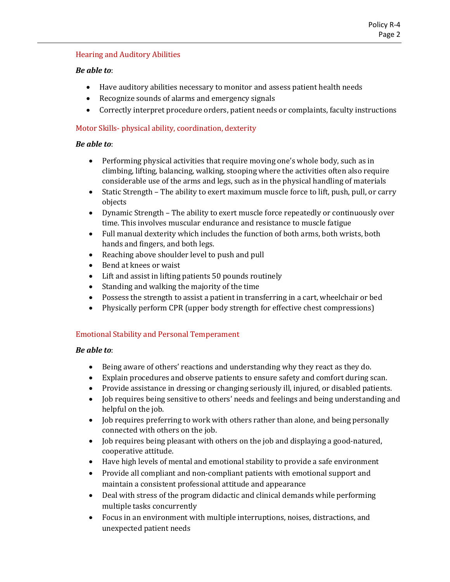## Hearing and Auditory Abilities

## *Be able to*:

- Have auditory abilities necessary to monitor and assess patient health needs
- Recognize sounds of alarms and emergency signals
- Correctly interpret procedure orders, patient needs or complaints, faculty instructions

## Motor Skills- physical ability, coordination, dexterity

### *Be able to*:

- Performing physical activities that require moving one's whole body, such as in climbing, lifting, balancing, walking, stooping where the activities often also require considerable use of the arms and legs, such as in the physical handling of materials
- Static Strength The ability to exert maximum muscle force to lift, push, pull, or carry objects
- Dynamic Strength The ability to exert muscle force repeatedly or continuously over time. This involves muscular endurance and resistance to muscle fatigue
- Full manual dexterity which includes the function of both arms, both wrists, both hands and fingers, and both legs.
- Reaching above shoulder level to push and pull
- Bend at knees or waist
- Lift and assist in lifting patients 50 pounds routinely
- Standing and walking the majority of the time
- Possess the strength to assist a patient in transferring in a cart, wheelchair or bed
- Physically perform CPR (upper body strength for effective chest compressions)

## Emotional Stability and Personal Temperament

#### *Be able to*:

- Being aware of others' reactions and understanding why they react as they do.
- Explain procedures and observe patients to ensure safety and comfort during scan.
- Provide assistance in dressing or changing seriously ill, injured, or disabled patients.
- Job requires being sensitive to others' needs and feelings and being understanding and helpful on the job.
- Job requires preferring to work with others rather than alone, and being personally connected with others on the job.
- Job requires being pleasant with others on the job and displaying a good-natured, cooperative attitude.
- Have high levels of mental and emotional stability to provide a safe environment
- Provide all compliant and non-compliant patients with emotional support and maintain a consistent professional attitude and appearance
- Deal with stress of the program didactic and clinical demands while performing multiple tasks concurrently
- Focus in an environment with multiple interruptions, noises, distractions, and unexpected patient needs